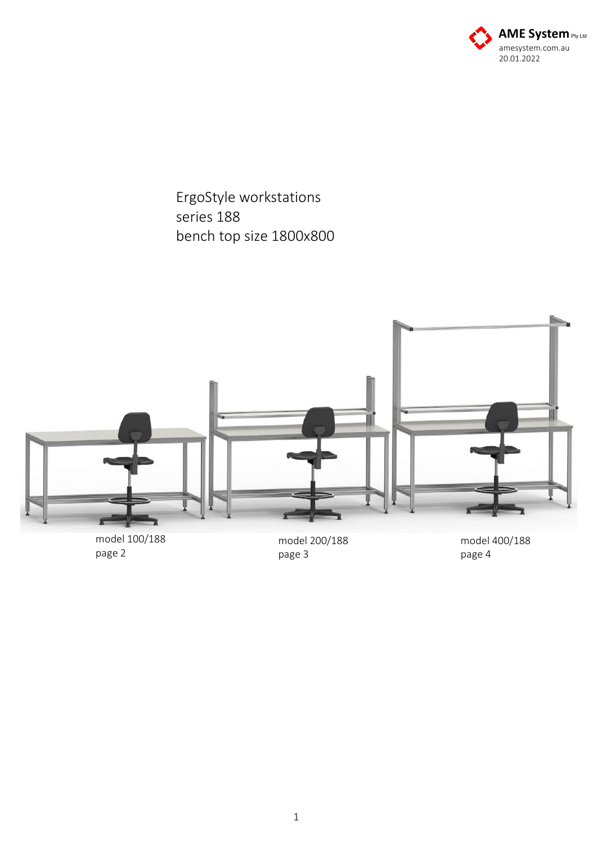

ErgoStyle workstations series 188 bench top size 1800x800



page 2

model 200/188 page 3

model 400/188 page 4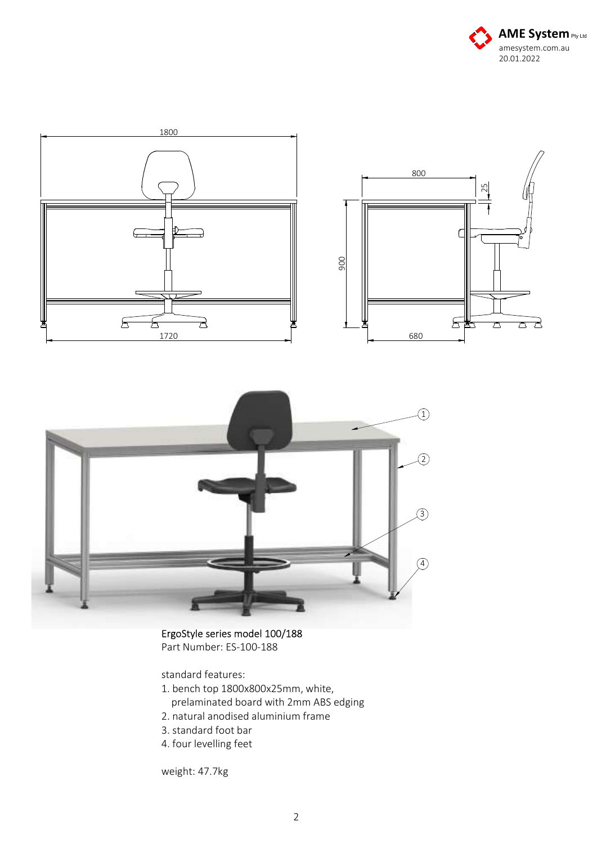





## ErgoStyle series model 100/188 Part Number: ES-100-188

standard features:

- 1. bench top 1800x800x25mm, white,
	- prelaminated board with 2mm ABS edging
- 2. natural anodised aluminium frame
- 3. standard foot bar
- 4. four levelling feet

weight: 47.7kg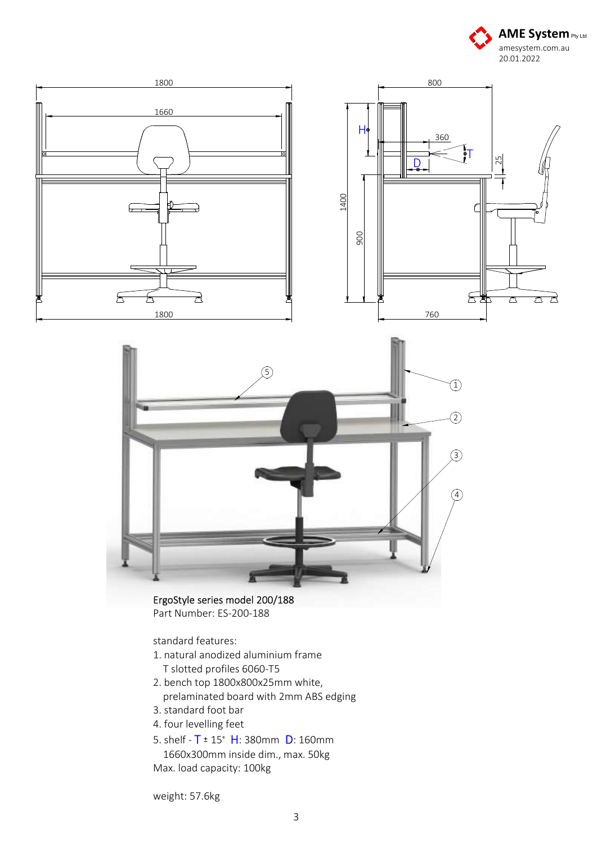





Part Number: ES-200-188

## standard features:

- 1. natural anodized aluminium frame T slotted profiles 6060-T5
- 2. bench top 1800x800x25mm white, prelaminated board with 2mm ABS edging
- 3. standard foot bar
- 4. four levelling feet
- 5. shelf  $T = 15^\circ$  H: 380mm D: 160mm 1660x300mm inside dim., max. 50kg Max. load capacity: 100kg

weight: 57.6kg